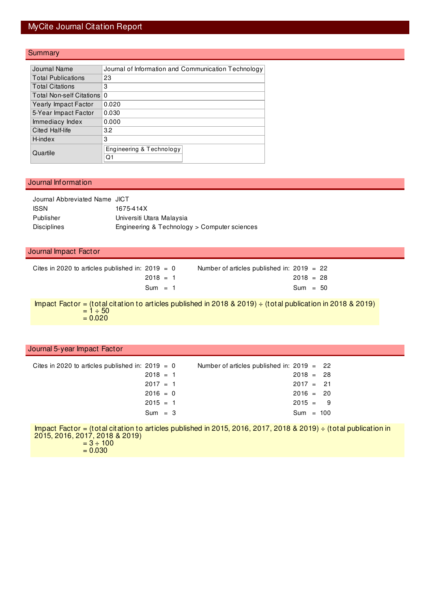### MyCite Journal Citation Report

#### **Summary**

| Journal Name                | Journal of Information and Communication Technology |
|-----------------------------|-----------------------------------------------------|
| <b>Total Publications</b>   | 23                                                  |
| <b>Total Citations</b>      | 3                                                   |
| Total Non-self Citations 0  |                                                     |
| <b>Yearly Impact Factor</b> | 0.020                                               |
| 5-Year Impact Factor        | 0.030                                               |
| Immediacy Index             | 0.000                                               |
| Cited Half-life             | 3.2                                                 |
| H-index                     | 3                                                   |
| Quartile                    | Engineering & Technology<br>O۱                      |

#### Journal Information

| Journal Abbreviated Name JICT |                                              |
|-------------------------------|----------------------------------------------|
| <b>ISSN</b>                   | 1675-414X                                    |
| Publisher                     | Universiti Utara Malaysia                    |
| Disciplines                   | Engineering & Technology > Computer sciences |

#### Journal Impact Factor

| Cites in 2020 to articles published in: $2019 = 0$ | Number of articles published in: $2019 = 22$ |
|----------------------------------------------------|----------------------------------------------|
| $2018 = 1$                                         | $2018 = 28$                                  |
| $Sum = 1$                                          | $Sum = 50$                                   |

Impact Factor = (total citation to articles published in 2018 & 2019) ÷ (total publication in 2018 & 2019)  $= 1 \div 50$  $= 0.020$ 

#### Journal 5-year Impact Factor

| Cites in 2020 to articles published in: 2019 $= 0$ |            |  | Number of articles published in: $2019 = 22$ |             |  |
|----------------------------------------------------|------------|--|----------------------------------------------|-------------|--|
|                                                    | $2018 = 1$ |  |                                              | $2018 = 28$ |  |
|                                                    | $2017 = 1$ |  |                                              | $2017 = 21$ |  |
|                                                    | $2016 = 0$ |  |                                              | $2016 = 20$ |  |
|                                                    | $2015 = 1$ |  |                                              | $2015 = 9$  |  |
|                                                    | $Sum = 3$  |  |                                              | $Sum = 100$ |  |
|                                                    |            |  |                                              |             |  |

Impact Factor = (total citation to articles published in 2015, 2016, 2017, 2018 & 2019) ÷ (total publication in 2015, 2016, 2017, 2018 & 2019)  $= 3 \div 100$ 

 $= 0.030$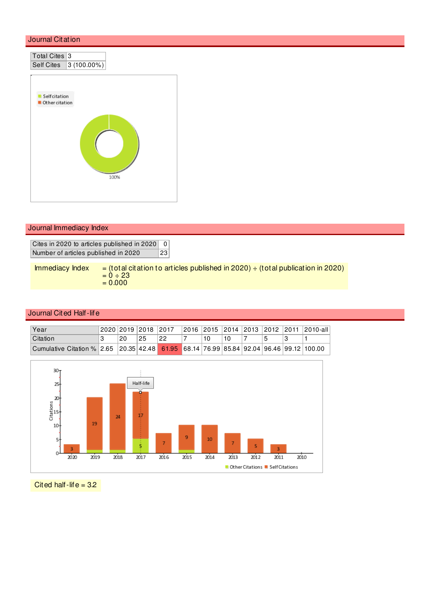

### Journal Immediacy Index

Cites in 2020 to articles published in 2020 0 Number of articles published in 2020 23

Immediacy Index  $=$  (total citation to articles published in 2020)  $\div$  (total publication in 2020)  $= 0 \div 23$  $= 0.000$ 

#### Journal Cited Half-life

| Year                                                                                    |    |     | 2020 2019 2018 2017 |  |  |  | 2016   2015   2014   2013   2012   2011   2010-all |
|-----------------------------------------------------------------------------------------|----|-----|---------------------|--|--|--|----------------------------------------------------|
| <b>Citation</b>                                                                         | 20 | -25 | 22                  |  |  |  |                                                    |
| Cumulative Citation % 2.65 20.35 42.48 61.95 68.14 76.99 85.84 92.04 96.46 99.12 100.00 |    |     |                     |  |  |  |                                                    |



Cited half-life  $= 3.2$